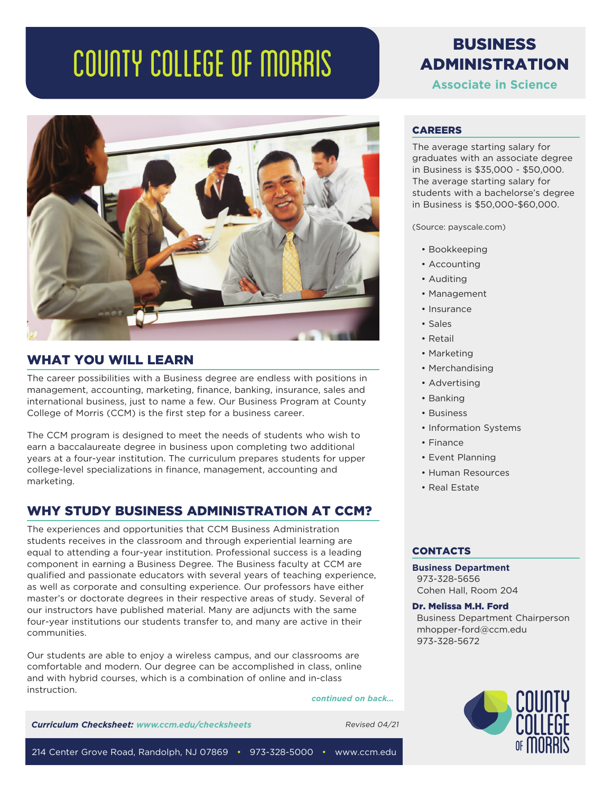# COUNTY COLLEGE OF MORRIS



#### WHAT YOU WILL LEARN

The career possibilities with a Business degree are endless with positions in management, accounting, marketing, finance, banking, insurance, sales and international business, just to name a few. Our Business Program at County College of Morris (CCM) is the first step for a business career.

The CCM program is designed to meet the needs of students who wish to earn a baccalaureate degree in business upon completing two additional years at a four-year institution. The curriculum prepares students for upper college-level specializations in finance, management, accounting and marketing.

# WHY STUDY BUSINESS ADMINISTRATION AT CCM?

The experiences and opportunities that CCM Business Administration students receives in the classroom and through experiential learning are equal to attending a four-year institution. Professional success is a leading component in earning a Business Degree. The Business faculty at CCM are qualified and passionate educators with several years of teaching experience, as well as corporate and consulting experience. Our professors have either master's or doctorate degrees in their respective areas of study. Several of our instructors have published material. Many are adjuncts with the same four-year institutions our students transfer to, and many are active in their communities.

Our students are able to enjoy a wireless campus, and our classrooms are comfortable and modern. Our degree can be accomplished in class, online and with hybrid courses, which is a combination of online and in-class instruction.

*continued on back...*

*Curriculum Checksheet: www.ccm.edu/checksheets* Revised 04/21

# BUSINESS ADMINISTRATION

**Associate in Science**

#### CAREERS

The average starting salary for graduates with an associate degree in Business is \$35,000 - \$50,000. The average starting salary for students with a bachelorse's degree in Business is \$50,000-\$60,000.

(Source: payscale.com)

- Bookkeeping
- Accounting
- Auditing
- Management
- Insurance
- Sales
- Retail
- Marketing
- Merchandising
- Advertising
- Banking
- Business
- Information Systems
- Finance
- Event Planning
- Human Resources
- Real Estate

#### **CONTACTS**

**Business Department** 973-328-5656 Cohen Hall, Room 204

Dr. Melissa M.H. Ford

Business Department Chairperson mhopper-ford@ccm.edu 973-328-5672